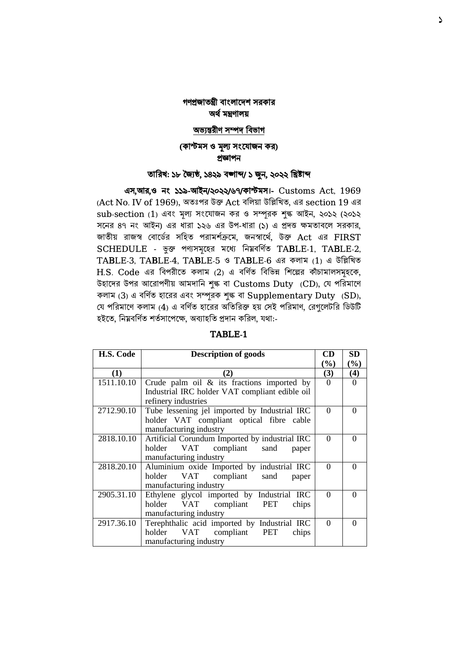# গণপ্রজাতন্ত্রী বাংলাদেশ সরকার অর্ থমন্ত্রণালয়

### অভ্যন্তরীণ সম্পে ববভ্াগ

## (কাস্টমস ও মূল্য সংযোজন কর) প্রজ্ঞাপন

### তাবরখ: ১৮ জ্যৈষ্ঠ, ১৪২৯ বঙ্গাব্দ/ ১ জুন, ২০২২ বিষ্টাব্দ

 এস,আর,ও নাং ১১৯-আইন/২০২২/৬৭/কাস্টমস।- Customs Act, 1969 (Act No. IV of 1969), অতঃপর উক্ত Act ববলয়া উবিবখত, এর section 19 এর sub-section (1) এবং মূল্য সংযোজন কর ও সম্পূরক শুক্ষ আইন, ২০১২ (২০১২ সনের ৪৭ নং আইন) এর ধারা ১২৬ এর উপ-ধারা (১) এ প্রদত্ত ক্ষমতাবলে সরকার, জাতীয় রাজস্ব বোর্ডের সহিত পরামর্শক্রমে, জনস্বার্থে, উক্ত Act এর FIRST SCHEDULE - ভুক্ত পণ্যসমূহের মধ্যে নিম্নবর্ণিত TABLE-1, TABLE-2, TABLE-3, TABLE-4, TABLE-5 ও TABLE-6 এর কলাম (1) এ উবিবখত H.S. Code এর বিপরীতে কলাম (2) এ বর্ণিত বিভিন্ন শিল্পের কাঁচামালসমূহকে, উিাদের উপর আদরাপণীয় আমোবন শুল্ক বা Customs Duty (CD), ব পবরমাদণ কলাম (3) এ বর্ণিত হারের এবং সম্পূরক শুল্ক বা Supplementary Duty (SD), যে পরিমাণে কলাম (4) এ বর্ণিত হারের অতিরিক্ত হয় সেই পরিমাণ, রেগলেটরি ডিউটি হইতে, নিম্নবৰ্ণিত শৰ্তসাপেক্ষে, অব্যাহতি প্রদান করিল, যথা:-

| H.S. Code  | <b>Description of goods</b>                    | CD       | SD       |
|------------|------------------------------------------------|----------|----------|
|            |                                                | $(\%)$   | $(\%)$   |
| (1)        | (2)                                            | (3)      | (4)      |
| 1511.10.10 | Crude palm oil $\&$ its fractions imported by  | $\Omega$ | ∩        |
|            | Industrial IRC holder VAT compliant edible oil |          |          |
|            | refinery industries                            |          |          |
| 2712.90.10 | Tube lessening jel imported by Industrial IRC  | $\Omega$ | 0        |
|            | holder VAT compliant optical fibre cable       |          |          |
|            | manufacturing industry                         |          |          |
| 2818.10.10 | Artificial Corundum Imported by industrial IRC | $\Omega$ | $\Omega$ |
|            | VAT compliant sand<br>holder<br>paper          |          |          |
|            | manufacturing industry                         |          |          |
| 2818.20.10 | Aluminium oxide Imported by industrial IRC     | 0        | 0        |
|            | VAT compliant<br>holder<br>sand<br>paper       |          |          |
|            | manufacturing industry                         |          |          |
| 2905.31.10 | Ethylene glycol imported by Industrial IRC     | $\Omega$ | 0        |
|            | holder VAT compliant PET<br>chips              |          |          |
|            | manufacturing industry                         |          |          |
| 2917.36.10 | Terephthalic acid imported by Industrial IRC   | $\Omega$ | $\Omega$ |
|            | holder VAT compliant PET<br>chips              |          |          |
|            | manufacturing industry                         |          |          |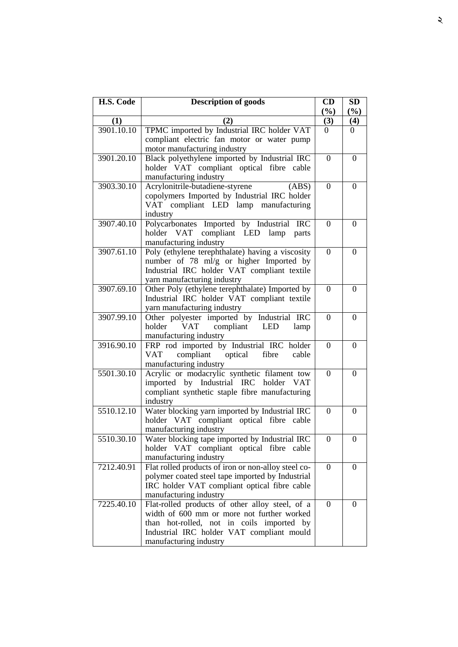| H.S. Code  | <b>Description of goods</b>                                                                | CD               | <b>SD</b>        |
|------------|--------------------------------------------------------------------------------------------|------------------|------------------|
| (1)        | (2)                                                                                        | (%)<br>(3)       | (%)<br>(4)       |
| 3901.10.10 | TPMC imported by Industrial IRC holder VAT                                                 | 0                | 0                |
|            | compliant electric fan motor or water pump                                                 |                  |                  |
|            | motor manufacturing industry                                                               |                  |                  |
| 3901.20.10 | Black polyethylene imported by Industrial IRC                                              | $\theta$         | $\theta$         |
|            | holder VAT compliant optical fibre cable                                                   |                  |                  |
|            | manufacturing industry                                                                     |                  |                  |
| 3903.30.10 | Acrylonitrile-butadiene-styrene<br>(ABS)                                                   | $\theta$         | $\theta$         |
|            | copolymers Imported by Industrial IRC holder                                               |                  |                  |
|            | VAT compliant LED lamp manufacturing                                                       |                  |                  |
|            | industry                                                                                   |                  |                  |
| 3907.40.10 | Polycarbonates Imported by Industrial IRC                                                  | $\theta$         | $\Omega$         |
|            | holder VAT compliant LED lamp parts                                                        |                  |                  |
|            | manufacturing industry                                                                     |                  |                  |
| 3907.61.10 | Poly (ethylene terephthalate) having a viscosity                                           | $\overline{0}$   | $\Omega$         |
|            | number of 78 ml/g or higher Imported by<br>Industrial IRC holder VAT compliant textile     |                  |                  |
|            | yarn manufacturing industry                                                                |                  |                  |
| 3907.69.10 | Other Poly (ethylene terephthalate) Imported by                                            | $\boldsymbol{0}$ | $\theta$         |
|            | Industrial IRC holder VAT compliant textile                                                |                  |                  |
|            | yarn manufacturing industry                                                                |                  |                  |
| 3907.99.10 | Other polyester imported by Industrial IRC                                                 | $\boldsymbol{0}$ | $\Omega$         |
|            | compliant<br>holder<br>VAT<br><b>LED</b><br>lamp                                           |                  |                  |
|            | manufacturing industry                                                                     |                  |                  |
| 3916.90.10 | FRP rod imported by Industrial IRC holder                                                  | $\boldsymbol{0}$ | $\Omega$         |
|            | compliant<br>optical<br>VAT<br>fibre<br>cable                                              |                  |                  |
|            | manufacturing industry                                                                     |                  |                  |
| 5501.30.10 | Acrylic or modacrylic synthetic filament tow                                               | $\Omega$         | $\Omega$         |
|            | imported by Industrial IRC holder<br>VAT                                                   |                  |                  |
|            | compliant synthetic staple fibre manufacturing                                             |                  |                  |
| 5510.12.10 | industry                                                                                   | $\Omega$         | $\Omega$         |
|            | Water blocking yarn imported by Industrial IRC<br>holder VAT compliant optical fibre cable |                  |                  |
|            | manufacturing industry                                                                     |                  |                  |
| 5510.30.10 | Water blocking tape imported by Industrial IRC                                             | $\boldsymbol{0}$ | $\boldsymbol{0}$ |
|            | holder VAT compliant optical fibre cable                                                   |                  |                  |
|            | manufacturing industry                                                                     |                  |                  |
| 7212.40.91 | Flat rolled products of iron or non-alloy steel co-                                        | $\overline{0}$   | $\theta$         |
|            | polymer coated steel tape imported by Industrial                                           |                  |                  |
|            | IRC holder VAT compliant optical fibre cable                                               |                  |                  |
|            | manufacturing industry                                                                     |                  |                  |
| 7225.40.10 | Flat-rolled products of other alloy steel, of a                                            | $\overline{0}$   | $\Omega$         |
|            | width of 600 mm or more not further worked                                                 |                  |                  |
|            | than hot-rolled, not in coils imported by                                                  |                  |                  |
|            | Industrial IRC holder VAT compliant mould<br>manufacturing industry                        |                  |                  |
|            |                                                                                            |                  |                  |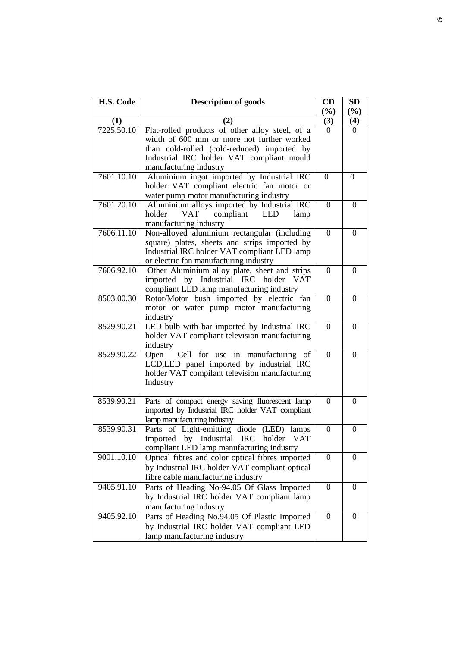| H.S. Code  | <b>Description of goods</b>                                | CD               | SD               |
|------------|------------------------------------------------------------|------------------|------------------|
|            |                                                            | (%)              | (%)              |
| (1)        | (2)                                                        | (3)              | (4)              |
| 7225.50.10 | Flat-rolled products of other alloy steel, of a            | $\Omega$         | $\Omega$         |
|            | width of 600 mm or more not further worked                 |                  |                  |
|            | than cold-rolled (cold-reduced) imported by                |                  |                  |
|            | Industrial IRC holder VAT compliant mould                  |                  |                  |
|            | manufacturing industry                                     |                  |                  |
| 7601.10.10 | Aluminium ingot imported by Industrial IRC                 | $\overline{0}$   | $\overline{0}$   |
|            | holder VAT compliant electric fan motor or                 |                  |                  |
|            | water pump motor manufacturing industry                    |                  |                  |
| 7601.20.10 | Alluminium alloys imported by Industrial IRC<br><b>VAT</b> | $\overline{0}$   | $\theta$         |
|            | compliant LED<br>holder<br>lamp<br>manufacturing industry  |                  |                  |
| 7606.11.10 | Non-alloyed aluminium rectangular (including               | $\theta$         | $\Omega$         |
|            | square) plates, sheets and strips imported by              |                  |                  |
|            | Industrial IRC holder VAT compliant LED lamp               |                  |                  |
|            | or electric fan manufacturing industry                     |                  |                  |
| 7606.92.10 | Other Aluminium alloy plate, sheet and strips              | $\overline{0}$   | $\Omega$         |
|            | imported by Industrial IRC holder<br><b>VAT</b>            |                  |                  |
|            | compliant LED lamp manufacturing industry                  |                  |                  |
| 8503.00.30 | Rotor/Motor bush imported by electric fan                  | $\theta$         | $\Omega$         |
|            | motor or water pump motor manufacturing                    |                  |                  |
|            | industry                                                   |                  |                  |
| 8529.90.21 | LED bulb with bar imported by Industrial IRC               | $\theta$         | $\Omega$         |
|            | holder VAT compliant television manufacturing              |                  |                  |
|            | industry                                                   |                  |                  |
| 8529.90.22 | Cell for use in manufacturing<br>Open<br>of                | $\overline{0}$   | $\theta$         |
|            | LCD,LED panel imported by industrial IRC                   |                  |                  |
|            | holder VAT compilant television manufacturing              |                  |                  |
|            | Industry                                                   |                  |                  |
| 8539.90.21 | Parts of compact energy saving fluorescent lamp            | $\boldsymbol{0}$ | $\Omega$         |
|            | imported by Industrial IRC holder VAT compliant            |                  |                  |
|            | lamp manufacturing industry                                |                  |                  |
| 8539.90.31 | Parts of Light-emitting diode (LED) lamps                  | $\boldsymbol{0}$ | $\boldsymbol{0}$ |
|            | imported by Industrial IRC holder VAT                      |                  |                  |
|            | compliant LED lamp manufacturing industry                  |                  |                  |
| 9001.10.10 | Optical fibres and color optical fibres imported           | $\overline{0}$   | $\theta$         |
|            | by Industrial IRC holder VAT compliant optical             |                  |                  |
|            | fibre cable manufacturing industry                         |                  |                  |
| 9405.91.10 | Parts of Heading No-94.05 Of Glass Imported                | $\boldsymbol{0}$ | $\theta$         |
|            | by Industrial IRC holder VAT compliant lamp                |                  |                  |
|            | manufacturing industry                                     |                  |                  |
| 9405.92.10 | Parts of Heading No.94.05 Of Plastic Imported              | $\boldsymbol{0}$ | 0                |
|            | by Industrial IRC holder VAT compliant LED                 |                  |                  |
|            | lamp manufacturing industry                                |                  |                  |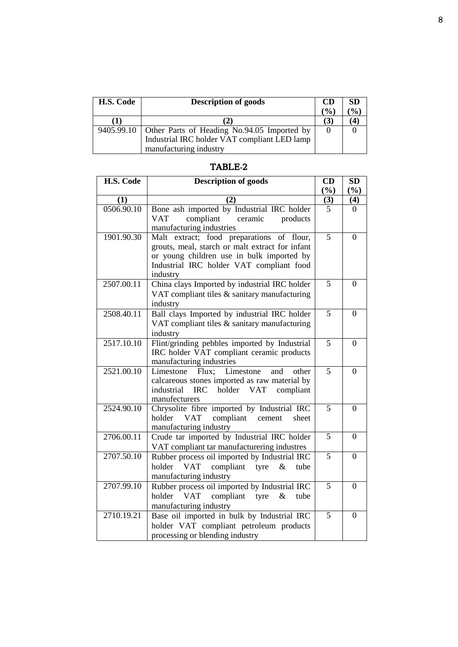| H.S. Code | <b>Description of goods</b>                              | <b>CD</b>     | <b>SD</b>                    |
|-----------|----------------------------------------------------------|---------------|------------------------------|
|           |                                                          | $\frac{1}{2}$ | $\left( \frac{0}{0} \right)$ |
|           | (2)                                                      | (3)           |                              |
|           | 9405.99.10   Other Parts of Heading No.94.05 Imported by |               |                              |
|           | Industrial IRC holder VAT compliant LED lamp             |               |                              |
|           | manufacturing industry                                   |               |                              |

| H.S. Code  | <b>Description of goods</b>                                                                  | CD             | <b>SD</b>      |
|------------|----------------------------------------------------------------------------------------------|----------------|----------------|
|            |                                                                                              | (%)            | (%)            |
| (1)        | (2)                                                                                          | (3)            | (4)            |
| 0506.90.10 | Bone ash imported by Industrial IRC holder                                                   | 5              | 0              |
|            | compliant<br><b>VAT</b><br>ceramic<br>products                                               |                |                |
| 1901.90.30 | manufacturing industries                                                                     | 5              |                |
|            | Malt extract; food preparations of flour,<br>grouts, meal, starch or malt extract for infant |                | $\theta$       |
|            | or young children use in bulk imported by                                                    |                |                |
|            | Industrial IRC holder VAT compliant food                                                     |                |                |
|            | industry                                                                                     |                |                |
| 2507.00.11 | China clays Imported by industrial IRC holder                                                | 5              | $\theta$       |
|            | VAT compliant tiles & sanitary manufacturing                                                 |                |                |
|            | industry                                                                                     |                |                |
| 2508.40.11 | Ball clays Imported by industrial IRC holder                                                 | $\overline{5}$ | $\theta$       |
|            | VAT compliant tiles & sanitary manufacturing                                                 |                |                |
|            | industry                                                                                     |                |                |
| 2517.10.10 | Flint/grinding pebbles imported by Industrial                                                | $\overline{5}$ | $\overline{0}$ |
|            | IRC holder VAT compliant ceramic products                                                    |                |                |
|            | manufacturing industries                                                                     |                |                |
| 2521.00.10 | Flux:<br>Limestone<br>other<br>Limestone<br>and                                              | $\overline{5}$ | $\Omega$       |
|            | calcareous stones imported as raw material by<br>industrial                                  |                |                |
|            | <b>IRC</b><br>holder<br><b>VAT</b><br>compliant<br>manufecturers                             |                |                |
| 2524.90.10 | Chrysolite fibre imported by Industrial IRC                                                  | 5              | $\theta$       |
|            | <b>VAT</b><br>compliant<br>holder<br>cement<br>sheet                                         |                |                |
|            | manufacturing industry                                                                       |                |                |
| 2706.00.11 | Crude tar imported by Industrial IRC holder                                                  | $\overline{5}$ | $\overline{0}$ |
|            | VAT compliant tar manufacturering industres                                                  |                |                |
| 2707.50.10 | Rubber process oil imported by Industrial IRC                                                | $\overline{5}$ | $\theta$       |
|            | <b>VAT</b><br>compliant tyre<br>$\&$<br>holder<br>tube                                       |                |                |
|            | manufacturing industry                                                                       |                |                |
| 2707.99.10 | Rubber process oil imported by Industrial IRC                                                | 5              | $\Omega$       |
|            | <b>VAT</b><br>compliant tyre<br>$\&$<br>holder<br>tube                                       |                |                |
|            | manufacturing industry                                                                       |                |                |
| 2710.19.21 | Base oil imported in bulk by Industrial IRC                                                  | $\overline{5}$ | $\theta$       |
|            | holder VAT compliant petroleum products                                                      |                |                |
|            | processing or blending industry                                                              |                |                |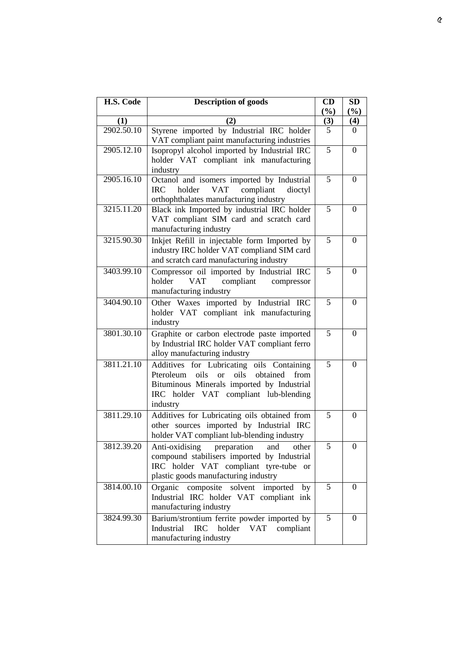| H.S. Code               | <b>Description of goods</b>                                                                                                                                                                                | CD<br>(%)      | <b>SD</b><br>(%) |
|-------------------------|------------------------------------------------------------------------------------------------------------------------------------------------------------------------------------------------------------|----------------|------------------|
| (1)                     | (2)                                                                                                                                                                                                        | (3)            | (4)              |
| 2902.50.10              | Styrene imported by Industrial IRC holder<br>VAT compliant paint manufacturing industries                                                                                                                  | 5              | $\Omega$         |
| 2905.12.10              | Isopropyl alcohol imported by Industrial IRC<br>holder VAT compliant ink manufacturing<br>industry                                                                                                         | $\overline{5}$ | $\theta$         |
| 2905.16.10              | Octanol and isomers imported by Industrial<br><b>IRC</b><br>holder<br><b>VAT</b><br>compliant<br>dioctyl<br>orthophthalates manufacturing industry                                                         | 5              | $\theta$         |
| 3215.11.20              | Black ink Imported by industrial IRC holder<br>VAT compliant SIM card and scratch card<br>manufacturing industry                                                                                           | 5              | $\theta$         |
| 3215.90.30              | Inkjet Refill in injectable form Imported by<br>industry IRC holder VAT compliand SIM card<br>and scratch card manufacturing industry                                                                      | 5              | $\theta$         |
| 3403.99.10              | Compressor oil imported by Industrial IRC<br>holder<br><b>VAT</b><br>compliant<br>compressor<br>manufacturing industry                                                                                     | 5              | $\overline{0}$   |
| 3404.90.10              | Other Waxes imported by Industrial IRC<br>holder VAT compliant ink manufacturing<br>industry                                                                                                               | 5              | 0                |
| 3801.30.10              | Graphite or carbon electrode paste imported<br>by Industrial IRC holder VAT compliant ferro<br>alloy manufacturing industry                                                                                | 5              | $\overline{0}$   |
| 3811.21.10              | Additives for Lubricating oils Containing<br>Pteroleum<br>oils<br>oils<br>obtained<br>from<br><b>or</b><br>Bituminous Minerals imported by Industrial<br>IRC holder VAT compliant lub-blending<br>industry | 5              | $\theta$         |
| $38\overline{11.29.10}$ | Additives for Lubricating oils obtained from<br>other sources imported by Industrial IRC<br>holder VAT compliant lub-blending industry                                                                     | 5              | $\boldsymbol{0}$ |
| 3812.39.20              | Anti-oxidising<br>preparation<br>and<br>other<br>compound stabilisers imported by Industrial<br>IRC holder VAT compliant tyre-tube or<br>plastic goods manufacturing industry                              | 5              | 0                |
| 3814.00.10              | Organic composite solvent imported<br>by<br>Industrial IRC holder VAT compliant ink<br>manufacturing industry                                                                                              | $\overline{5}$ | $\Omega$         |
| 3824.99.30              | Barium/strontium ferrite powder imported by<br>IRC holder VAT compliant<br>Industrial<br>manufacturing industry                                                                                            | 5              | $\theta$         |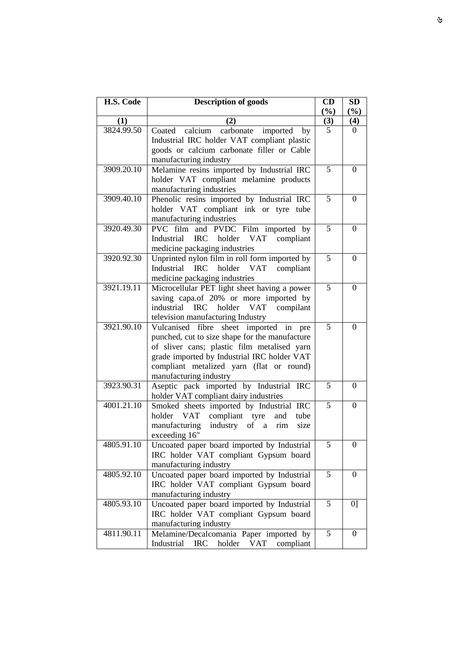| H.S. Code  | <b>Description of goods</b>                                                                                                                                                                                                                                           | CD              | <b>SD</b>        |
|------------|-----------------------------------------------------------------------------------------------------------------------------------------------------------------------------------------------------------------------------------------------------------------------|-----------------|------------------|
|            |                                                                                                                                                                                                                                                                       | (%)             | (%)              |
| (1)        | (2)                                                                                                                                                                                                                                                                   | $\frac{(3)}{5}$ | (4)              |
| 3824.99.50 | calcium<br>carbonate<br>imported<br>Coated<br>by<br>Industrial IRC holder VAT compliant plastic<br>goods or calcium carbonate filler or Cable                                                                                                                         |                 | $\theta$         |
|            | manufacturing industry                                                                                                                                                                                                                                                |                 |                  |
| 3909.20.10 | Melamine resins imported by Industrial IRC                                                                                                                                                                                                                            | 5               | $\Omega$         |
|            | holder VAT compliant melamine products<br>manufacturing industries                                                                                                                                                                                                    |                 |                  |
| 3909.40.10 | Phenolic resins imported by Industrial IRC<br>holder VAT compliant ink or tyre tube<br>manufacturing industries                                                                                                                                                       | 5               | $\theta$         |
| 3920.49.30 | PVC film and PVDC Film imported by<br>Industrial<br>IRC holder VAT<br>compliant<br>medicine packaging industries                                                                                                                                                      | 5               | $\Omega$         |
| 3920.92.30 | Unprinted nylon film in roll form imported by<br>Industrial IRC holder<br>VAT<br>compliant<br>medicine packaging industries                                                                                                                                           | 5               | $\theta$         |
| 3921.19.11 | Microcellular PET light sheet having a power<br>saving capa.of 20% or more imported by<br><b>IRC</b><br>industrial<br>holder VAT<br>compilant<br>television manufacturing Industry                                                                                    | 5               | $\Omega$         |
| 3921.90.10 | Vulcanised<br>sheet imported in<br>fibre<br>pre<br>punched, cut to size shape for the manufacture<br>of sliver cans; plastic film metalised yarn<br>grade imported by Industrial IRC holder VAT<br>compliant metalized yarn (flat or round)<br>manufacturing industry | 5               | $\overline{0}$   |
| 3923.90.31 | Aseptic pack imported by Industrial IRC<br>holder VAT compliant dairy industries                                                                                                                                                                                      | 5               | $\overline{0}$   |
| 4001.21.10 | Smoked sheets imported by Industrial IRC<br>compliant tyre<br>VAT<br>and<br>holder<br>tube<br>manufacturing industry of a rim<br>size<br>exceeding 16"                                                                                                                | $\overline{5}$  | $\overline{0}$   |
| 4805.91.10 | Uncoated paper board imported by Industrial<br>IRC holder VAT compliant Gypsum board<br>manufacturing industry                                                                                                                                                        | 5               | $\boldsymbol{0}$ |
| 4805.92.10 | Uncoated paper board imported by Industrial<br>IRC holder VAT compliant Gypsum board<br>manufacturing industry                                                                                                                                                        | 5               | $\Omega$         |
| 4805.93.10 | Uncoated paper board imported by Industrial<br>IRC holder VAT compliant Gypsum board<br>manufacturing industry                                                                                                                                                        | 5               | 0 <sup>1</sup>   |
| 4811.90.11 | Melamine/Decalcomania Paper imported by<br>Industrial<br><b>IRC</b><br>holder<br><b>VAT</b><br>compliant                                                                                                                                                              | 5               | $\overline{0}$   |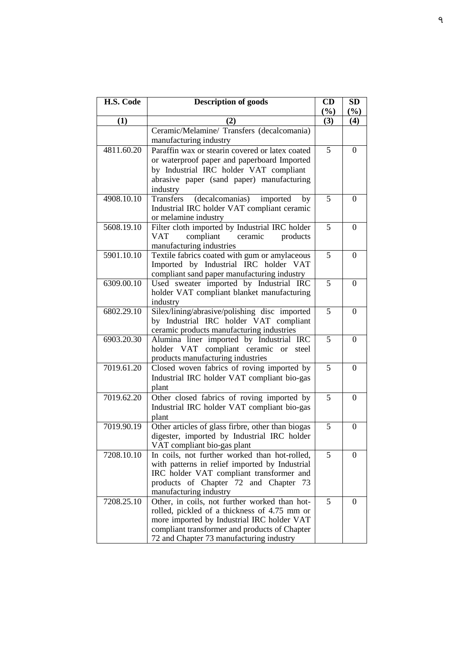| H.S. Code               | <b>Description of goods</b>                                                                | CD<br>(%)      | <b>SD</b><br>$(\%)$ |
|-------------------------|--------------------------------------------------------------------------------------------|----------------|---------------------|
| (1)                     | (2)                                                                                        | (3)            | (4)                 |
|                         | Ceramic/Melamine/ Transfers (decalcomania)                                                 |                |                     |
|                         | manufacturing industry                                                                     |                |                     |
| 4811.60.20              | Paraffin wax or stearin covered or latex coated                                            | 5              | $\theta$            |
|                         | or waterproof paper and paperboard Imported                                                |                |                     |
|                         | by Industrial IRC holder VAT compliant                                                     |                |                     |
|                         | abrasive paper (sand paper) manufacturing                                                  |                |                     |
|                         | industry                                                                                   |                |                     |
| 4908.10.10              | (decalcomanias)<br>imported<br>Transfers<br>by                                             | 5              | $\theta$            |
|                         | Industrial IRC holder VAT compliant ceramic                                                |                |                     |
|                         | or melamine industry                                                                       |                |                     |
| 5608.19.10              | Filter cloth imported by Industrial IRC holder                                             | $\overline{5}$ | $\theta$            |
|                         | compliant<br>ceramic<br>VAT<br>products                                                    |                |                     |
|                         | manufacturing industries                                                                   |                |                     |
| 5901.10.10              | Textile fabrics coated with gum or amylaceous                                              | 5              | $\theta$            |
|                         | Imported by Industrial IRC holder VAT                                                      |                |                     |
| 6309.00.10              | compliant sand paper manufacturing industry                                                | 5              |                     |
|                         | Used sweater imported by Industrial IRC<br>holder VAT compliant blanket manufacturing      |                | $\overline{0}$      |
|                         | industry                                                                                   |                |                     |
| 6802.29.10              | Silex/lining/abrasive/polishing disc imported                                              | 5              | $\Omega$            |
|                         | by Industrial IRC holder VAT compliant                                                     |                |                     |
|                         | ceramic products manufacturing industries                                                  |                |                     |
| 6903.20.30              | Alumina liner imported by Industrial IRC                                                   | 5              | $\Omega$            |
|                         | holder VAT compliant ceramic<br><sub>or</sub><br>steel                                     |                |                     |
|                         | products manufacturing industries                                                          |                |                     |
| 7019.61.20              | Closed woven fabrics of roving imported by                                                 | 5              | $\theta$            |
|                         | Industrial IRC holder VAT compliant bio-gas                                                |                |                     |
|                         | plant                                                                                      |                |                     |
| $7019.62.\overline{20}$ | Other closed fabrics of roving imported by                                                 | 5              | $\theta$            |
|                         | Industrial IRC holder VAT compliant bio-gas                                                |                |                     |
|                         | plant                                                                                      |                |                     |
| 7019.90.19              | Other articles of glass firbre, other than biogas                                          | 5              | $\overline{0}$      |
|                         | digester, imported by Industrial IRC holder                                                |                |                     |
|                         | VAT compliant bio-gas plant                                                                |                |                     |
| 7208.10.10              | In coils, not further worked than hot-rolled,                                              | 5              | 0                   |
|                         | with patterns in relief imported by Industrial                                             |                |                     |
|                         | IRC holder VAT compliant transformer and                                                   |                |                     |
|                         | products of Chapter 72 and Chapter 73                                                      |                |                     |
|                         | manufacturing industry                                                                     | 5              |                     |
| 7208.25.10              | Other, in coils, not further worked than hot-                                              |                | 0                   |
|                         | rolled, pickled of a thickness of 4.75 mm or<br>more imported by Industrial IRC holder VAT |                |                     |
|                         | compliant transformer and products of Chapter                                              |                |                     |
|                         | 72 and Chapter 73 manufacturing industry                                                   |                |                     |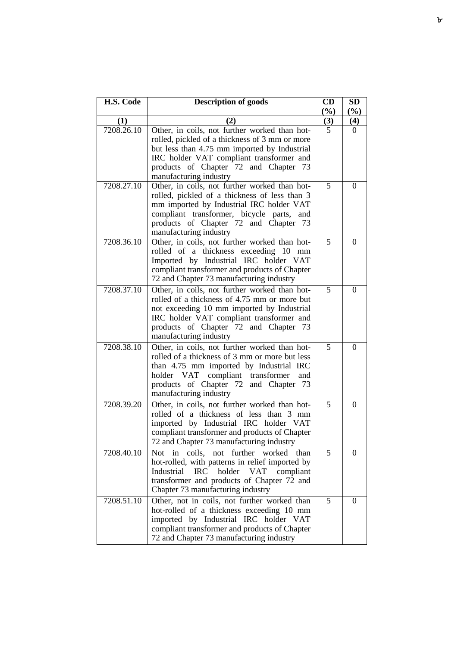| H.S. Code  | <b>Description of goods</b>                                                                                                                                                                                                                                   | CD       | <b>SD</b>  |
|------------|---------------------------------------------------------------------------------------------------------------------------------------------------------------------------------------------------------------------------------------------------------------|----------|------------|
| (1)        |                                                                                                                                                                                                                                                               | (%)      | (%)<br>(4) |
| 7208.26.10 | (2)<br>Other, in coils, not further worked than hot-<br>rolled, pickled of a thickness of 3 mm or more<br>but less than 4.75 mm imported by Industrial<br>IRC holder VAT compliant transformer and                                                            | (3)<br>5 | $\Omega$   |
|            | products of Chapter 72 and Chapter 73<br>manufacturing industry                                                                                                                                                                                               |          |            |
| 7208.27.10 | Other, in coils, not further worked than hot-<br>rolled, pickled of a thickness of less than 3<br>mm imported by Industrial IRC holder VAT<br>compliant transformer, bicycle parts,<br>and<br>products of Chapter 72 and Chapter 73<br>manufacturing industry | 5        | $\theta$   |
| 7208.36.10 | Other, in coils, not further worked than hot-<br>rolled of a thickness exceeding 10 mm<br>Imported by Industrial IRC holder VAT<br>compliant transformer and products of Chapter<br>72 and Chapter 73 manufacturing industry                                  | 5        | $\Omega$   |
| 7208.37.10 | Other, in coils, not further worked than hot-<br>rolled of a thickness of 4.75 mm or more but<br>not exceeding 10 mm imported by Industrial<br>IRC holder VAT compliant transformer and<br>products of Chapter 72 and Chapter 73<br>manufacturing industry    | 5        | $\theta$   |
| 7208.38.10 | Other, in coils, not further worked than hot-<br>rolled of a thickness of 3 mm or more but less<br>than 4.75 mm imported by Industrial IRC<br>holder VAT compliant transformer<br>and<br>products of Chapter 72 and Chapter 73<br>manufacturing industry      | 5        | $\theta$   |
| 7208.39.20 | Other, in coils, not further worked than hot-<br>rolled of a thickness of less than 3 mm<br>imported by Industrial IRC holder VAT<br>compliant transformer and products of Chapter<br>72 and Chapter 73 manufacturing industry                                | 5        | $\theta$   |
| 7208.40.10 | further<br>coils,<br>worked<br>Not in<br>not<br>than<br>hot-rolled, with patterns in relief imported by<br>Industrial<br>$\rm IRC$<br>holder<br><b>VAT</b><br>compliant<br>transformer and products of Chapter 72 and<br>Chapter 73 manufacturing industry    | 5        | $\theta$   |
| 7208.51.10 | Other, not in coils, not further worked than<br>hot-rolled of a thickness exceeding 10 mm<br>imported by Industrial IRC holder VAT<br>compliant transformer and products of Chapter<br>72 and Chapter 73 manufacturing industry                               | 5        | 0          |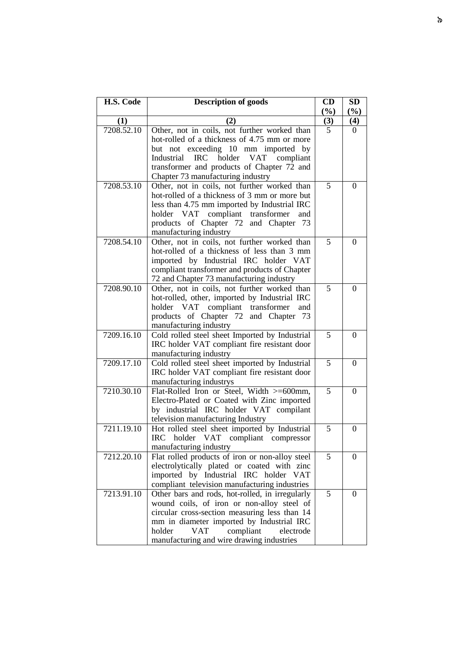| H.S. Code  | <b>Description of goods</b>                                                             | CD<br>(%)      | <b>SD</b>        |
|------------|-----------------------------------------------------------------------------------------|----------------|------------------|
| (1)        | (2)                                                                                     | (3)            | $(\%)$<br>(4)    |
| 7208.52.10 | Other, not in coils, not further worked than                                            | $\overline{5}$ | $\Omega$         |
|            | hot-rolled of a thickness of 4.75 mm or more                                            |                |                  |
|            | but not exceeding 10 mm imported by                                                     |                |                  |
|            | IRC holder VAT compliant<br>Industrial                                                  |                |                  |
|            | transformer and products of Chapter 72 and                                              |                |                  |
|            | Chapter 73 manufacturing industry                                                       |                |                  |
| 7208.53.10 | Other, not in coils, not further worked than                                            | 5              | $\theta$         |
|            | hot-rolled of a thickness of 3 mm or more but                                           |                |                  |
|            | less than 4.75 mm imported by Industrial IRC<br>holder VAT compliant transformer<br>and |                |                  |
|            | products of Chapter 72 and Chapter 73                                                   |                |                  |
|            | manufacturing industry                                                                  |                |                  |
| 7208.54.10 | Other, not in coils, not further worked than                                            | 5              | $\theta$         |
|            | hot-rolled of a thickness of less than 3 mm                                             |                |                  |
|            | imported by Industrial IRC holder VAT                                                   |                |                  |
|            | compliant transformer and products of Chapter                                           |                |                  |
|            | 72 and Chapter 73 manufacturing industry                                                |                |                  |
| 7208.90.10 | Other, not in coils, not further worked than                                            | 5              | $\theta$         |
|            | hot-rolled, other, imported by Industrial IRC                                           |                |                  |
|            | holder VAT compliant transformer<br>and                                                 |                |                  |
|            | products of Chapter 72 and Chapter 73                                                   |                |                  |
| 7209.16.10 | manufacturing industry<br>Cold rolled steel sheet Imported by Industrial                | 5              | 0                |
|            | IRC holder VAT compliant fire resistant door                                            |                |                  |
|            | manufacturing industry                                                                  |                |                  |
| 7209.17.10 | Cold rolled steel sheet imported by Industrial                                          | 5              | $\theta$         |
|            | IRC holder VAT compliant fire resistant door                                            |                |                  |
|            | manufacturing industrys                                                                 |                |                  |
| 7210.30.10 | Flat-Rolled Iron or Steel, Width >=600mm,                                               | 5              | $\overline{0}$   |
|            | Electro-Plated or Coated with Zinc imported                                             |                |                  |
|            | by industrial IRC holder VAT compilant                                                  |                |                  |
|            | television manufacturing Industry                                                       |                |                  |
| 7211.19.10 | Hot rolled steel sheet imported by Industrial                                           | 5              | $\boldsymbol{0}$ |
|            | IRC holder VAT compliant compressor<br>manufacturing industry                           |                |                  |
| 7212.20.10 | Flat rolled products of iron or non-alloy steel                                         | 5              | $\overline{0}$   |
|            | electrolytically plated or coated with zinc                                             |                |                  |
|            | imported by Industrial IRC holder VAT                                                   |                |                  |
|            | compliant television manufacturing industries                                           |                |                  |
| 7213.91.10 | Other bars and rods, hot-rolled, in irregularly                                         | 5              | $\boldsymbol{0}$ |
|            | wound coils, of iron or non-alloy steel of                                              |                |                  |
|            | circular cross-section measuring less than 14                                           |                |                  |
|            | mm in diameter imported by Industrial IRC                                               |                |                  |
|            | holder<br>VAT<br>compliant<br>electrode                                                 |                |                  |
|            | manufacturing and wire drawing industries                                               |                |                  |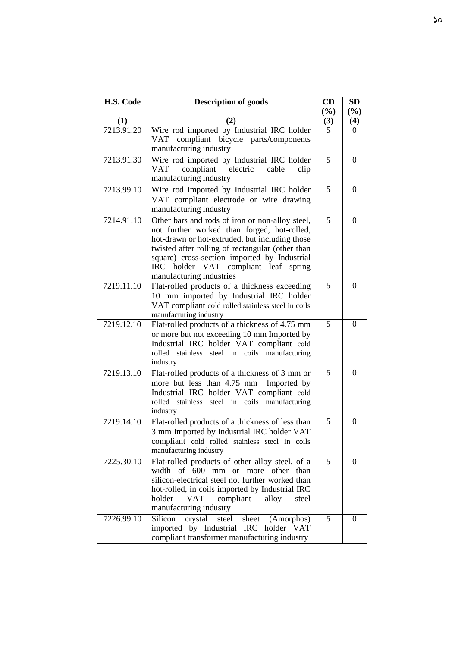| H.S. Code  | <b>Description of goods</b>                                                                                                                                                                                                                                                                                              | CD<br>(%) | <b>SD</b><br>(%) |
|------------|--------------------------------------------------------------------------------------------------------------------------------------------------------------------------------------------------------------------------------------------------------------------------------------------------------------------------|-----------|------------------|
| (1)        | (2)                                                                                                                                                                                                                                                                                                                      | (3)       | (4)              |
| 7213.91.20 | Wire rod imported by Industrial IRC holder<br>VAT compliant bicycle parts/components<br>manufacturing industry                                                                                                                                                                                                           | 5         | 0                |
| 7213.91.30 | Wire rod imported by Industrial IRC holder<br>compliant<br>electric<br>VAT<br>cable<br>clip<br>manufacturing industry                                                                                                                                                                                                    | 5         | $\Omega$         |
| 7213.99.10 | Wire rod imported by Industrial IRC holder<br>VAT compliant electrode or wire drawing<br>manufacturing industry                                                                                                                                                                                                          | 5         | $\theta$         |
| 7214.91.10 | Other bars and rods of iron or non-alloy steel,<br>not further worked than forged, hot-rolled,<br>hot-drawn or hot-extruded, but including those<br>twisted after rolling of rectangular (other than<br>square) cross-section imported by Industrial<br>IRC holder VAT compliant leaf spring<br>manufacturing industries | 5         | $\overline{0}$   |
| 7219.11.10 | Flat-rolled products of a thickness exceeding<br>10 mm imported by Industrial IRC holder<br>VAT compliant cold rolled stainless steel in coils<br>manufacturing industry                                                                                                                                                 | 5         | $\theta$         |
| 7219.12.10 | Flat-rolled products of a thickness of 4.75 mm<br>or more but not exceeding 10 mm Imported by<br>Industrial IRC holder VAT compliant cold<br>rolled stainless steel in coils manufacturing<br>industry                                                                                                                   | 5         | $\overline{0}$   |
| 7219.13.10 | Flat-rolled products of a thickness of 3 mm or<br>more but less than 4.75 mm<br>Imported by<br>Industrial IRC holder VAT compliant cold<br>rolled stainless<br>steel in coils manufacturing<br>industry                                                                                                                  | 5         | $\theta$         |
| 7219.14.10 | Flat-rolled products of a thickness of less than<br>3 mm Imported by Industrial IRC holder VAT<br>compliant cold rolled stainless steel in coils<br>manufacturing industry                                                                                                                                               | 5         | $\theta$         |
| 7225.30.10 | Flat-rolled products of other alloy steel, of a<br>width of 600<br>mm<br>other<br><sub>or</sub><br>more<br>than<br>silicon-electrical steel not further worked than<br>hot-rolled, in coils imported by Industrial IRC<br>holder<br>compliant<br>VAT<br>alloy<br>steel<br>manufacturing industry                         | 5         | $\Omega$         |
| 7226.99.10 | Silicon<br>crystal<br>steel<br>sheet<br>(Amorphos)<br>imported by Industrial IRC holder VAT<br>compliant transformer manufacturing industry                                                                                                                                                                              | 5         | $\Omega$         |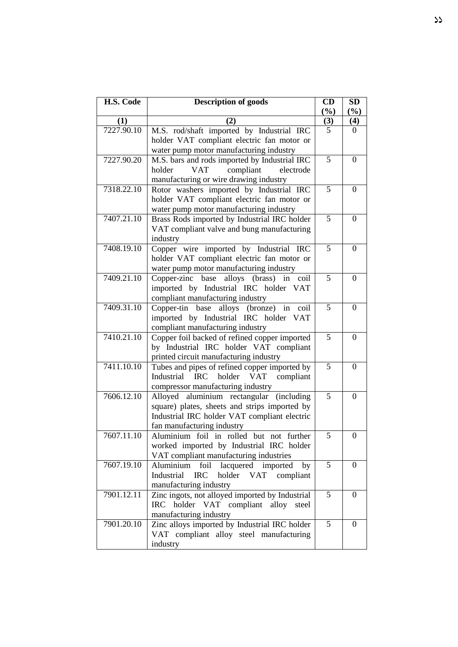| H.S. Code  | <b>Description of goods</b>                      | CD              | <b>SD</b>        |
|------------|--------------------------------------------------|-----------------|------------------|
|            |                                                  | (%)             | (%)              |
| (1)        | (2)                                              | $\frac{(3)}{5}$ | (4)              |
| 7227.90.10 | M.S. rod/shaft imported by Industrial IRC        |                 | 0                |
|            | holder VAT compliant electric fan motor or       |                 |                  |
|            | water pump motor manufacturing industry          |                 |                  |
| 7227.90.20 | M.S. bars and rods imported by Industrial IRC    | 5               | $\Omega$         |
|            | <b>VAT</b><br>compliant<br>holder<br>electrode   |                 |                  |
|            | manufacturing or wire drawing industry           |                 |                  |
| 7318.22.10 | Rotor washers imported by Industrial IRC         | $\overline{5}$  | $\theta$         |
|            | holder VAT compliant electric fan motor or       |                 |                  |
|            | water pump motor manufacturing industry          |                 |                  |
| 7407.21.10 | Brass Rods imported by Industrial IRC holder     | $\overline{5}$  | $\theta$         |
|            | VAT compliant valve and bung manufacturing       |                 |                  |
|            | industry                                         |                 |                  |
| 7408.19.10 | Copper wire imported by Industrial IRC           | 5               | $\theta$         |
|            | holder VAT compliant electric fan motor or       |                 |                  |
|            | water pump motor manufacturing industry          |                 |                  |
| 7409.21.10 | Copper-zinc base alloys (brass) in coil          | $\overline{5}$  | $\overline{0}$   |
|            | imported by Industrial IRC holder VAT            |                 |                  |
|            | compliant manufacturing industry                 |                 |                  |
| 7409.31.10 | Copper-tin base alloys (bronze) in<br>coil       | 5               | $\Omega$         |
|            | imported by Industrial IRC holder VAT            |                 |                  |
|            | compliant manufacturing industry                 |                 |                  |
| 7410.21.10 | Copper foil backed of refined copper imported    | 5               | $\theta$         |
|            | by Industrial IRC holder VAT compliant           |                 |                  |
|            | printed circuit manufacturing industry           |                 |                  |
| 7411.10.10 | Tubes and pipes of refined copper imported by    | 5               | $\theta$         |
|            | Industrial IRC holder VAT<br>compliant           |                 |                  |
|            | compressor manufacturing industry                |                 |                  |
| 7606.12.10 | Alloyed aluminium rectangular<br>(including)     | 5               | $\overline{0}$   |
|            | square) plates, sheets and strips imported by    |                 |                  |
|            | Industrial IRC holder VAT compliant electric     |                 |                  |
|            | fan manufacturing industry                       |                 |                  |
| 7607.11.10 | Aluminium foil in rolled but not further         | 5               | $\boldsymbol{0}$ |
|            | worked imported by Industrial IRC holder         |                 |                  |
|            | VAT compliant manufacturing industries           |                 |                  |
| 7607.19.10 | lacquered imported<br>Aluminium<br>by<br>foil    | 5               | $\Omega$         |
|            | Industrial<br><b>IRC</b><br>holder VAT compliant |                 |                  |
|            | manufacturing industry                           |                 |                  |
| 7901.12.11 | Zinc ingots, not alloyed imported by Industrial  | 5               | 0                |
|            | IRC holder VAT compliant alloy<br>steel          |                 |                  |
|            | manufacturing industry                           |                 |                  |
| 7901.20.10 | Zinc alloys imported by Industrial IRC holder    | 5               | 0                |
|            | VAT compliant alloy steel manufacturing          |                 |                  |
|            | industry                                         |                 |                  |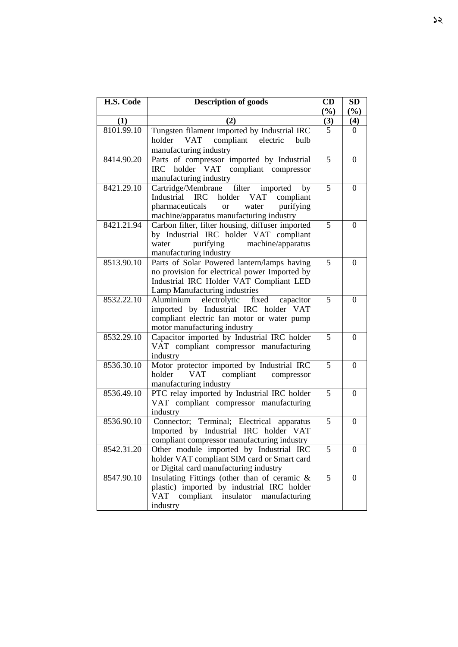| H.S. Code  | <b>Description of goods</b>                                                                                                                                                             | CD             | SD               |
|------------|-----------------------------------------------------------------------------------------------------------------------------------------------------------------------------------------|----------------|------------------|
|            |                                                                                                                                                                                         | (%)            | (%)              |
| (1)        | (2)                                                                                                                                                                                     | (3)            | (4)              |
| 8101.99.10 | Tungsten filament imported by Industrial IRC<br>VAT compliant electric<br>bulb<br>holder<br>manufacturing industry                                                                      | $\overline{5}$ | 0                |
| 8414.90.20 | Parts of compressor imported by Industrial<br>IRC holder VAT compliant compressor<br>manufacturing industry                                                                             | 5              | $\Omega$         |
| 8421.29.10 | imported<br>Cartridge/Membrane filter<br>by<br>Industrial IRC holder VAT<br>compliant<br>pharmaceuticals<br>purifying<br><b>or</b><br>water<br>machine/apparatus manufacturing industry | $\overline{5}$ | $\Omega$         |
| 8421.21.94 | Carbon filter, filter housing, diffuser imported<br>by Industrial IRC holder VAT compliant<br>purifying<br>water<br>machine/apparatus<br>manufacturing industry                         | 5              | $\theta$         |
| 8513.90.10 | Parts of Solar Powered lantern/lamps having<br>no provision for electrical power Imported by<br>Industrial IRC Holder VAT Compliant LED<br>Lamp Manufacturing industries                | 5              | $\Omega$         |
| 8532.22.10 | electrolytic<br>Aluminium<br>fixed<br>capacitor<br>imported by Industrial IRC holder VAT<br>compliant electric fan motor or water pump<br>motor manufacturing industry                  | 5              | $\Omega$         |
| 8532.29.10 | Capacitor imported by Industrial IRC holder<br>VAT compliant compressor manufacturing<br>industry                                                                                       | 5              | $\theta$         |
| 8536.30.10 | Motor protector imported by Industrial IRC<br>compliant compressor<br>holder<br><b>VAT</b><br>manufacturing industry                                                                    | 5              | $\Omega$         |
| 8536.49.10 | PTC relay imported by Industrial IRC holder<br>VAT compliant compressor manufacturing<br>industry                                                                                       | 5              | $\theta$         |
| 8536.90.10 | Connector; Terminal; Electrical apparatus<br>Imported by Industrial IRC holder VAT<br>compliant compressor manufacturing industry                                                       | 5              | $\theta$         |
| 8542.31.20 | Other module imported by Industrial IRC<br>holder VAT compliant SIM card or Smart card<br>or Digital card manufacturing industry                                                        | 5              | $\boldsymbol{0}$ |
| 8547.90.10 | Insulating Fittings (other than of ceramic &<br>plastic) imported by industrial IRC holder<br><b>VAT</b><br>compliant<br>insulator<br>manufacturing<br>industry                         | $\overline{5}$ | 0                |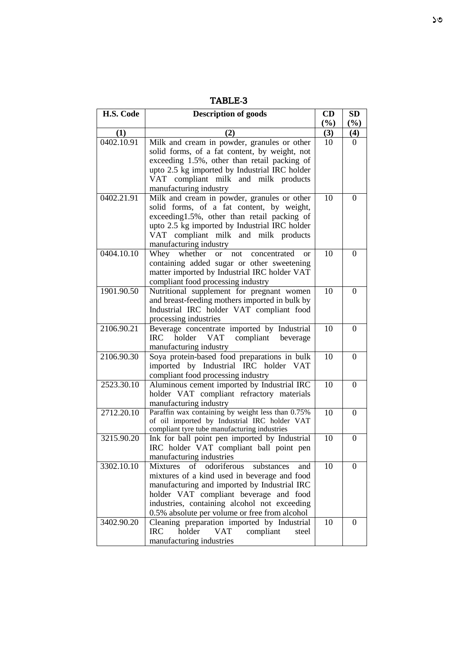| г<br>. .<br>$\overline{a}$ |
|----------------------------|
|----------------------------|

| H.S. Code  | <b>Description of goods</b>                                                                       | CD  | <b>SD</b>        |
|------------|---------------------------------------------------------------------------------------------------|-----|------------------|
|            |                                                                                                   | (%) | $(\%)$           |
| (1)        | (2)                                                                                               | (3) | (4)              |
| 0402.10.91 | Milk and cream in powder, granules or other                                                       | 10  | $\Omega$         |
|            | solid forms, of a fat content, by weight, not                                                     |     |                  |
|            | exceeding 1.5%, other than retail packing of                                                      |     |                  |
|            | upto 2.5 kg imported by Industrial IRC holder                                                     |     |                  |
|            | VAT compliant milk and milk products                                                              |     |                  |
|            | manufacturing industry                                                                            |     |                  |
| 0402.21.91 | Milk and cream in powder, granules or other                                                       | 10  | $\boldsymbol{0}$ |
|            | solid forms, of a fat content, by weight,                                                         |     |                  |
|            | exceeding1.5%, other than retail packing of                                                       |     |                  |
|            | upto 2.5 kg imported by Industrial IRC holder                                                     |     |                  |
|            | VAT compliant milk and milk products<br>manufacturing industry                                    |     |                  |
| 0404.10.10 | Whey whether<br><b>or</b><br>concentrated<br>not<br><sub>or</sub>                                 | 10  | $\theta$         |
|            | containing added sugar or other sweetening                                                        |     |                  |
|            | matter imported by Industrial IRC holder VAT                                                      |     |                  |
|            | compliant food processing industry                                                                |     |                  |
| 1901.90.50 | Nutritional supplement for pregnant women                                                         | 10  | $\theta$         |
|            | and breast-feeding mothers imported in bulk by                                                    |     |                  |
|            | Industrial IRC holder VAT compliant food                                                          |     |                  |
|            | processing industries                                                                             |     |                  |
| 2106.90.21 | Beverage concentrate imported by Industrial                                                       | 10  | $\theta$         |
|            | <b>VAT</b><br>holder<br>compliant beverage<br><b>IRC</b>                                          |     |                  |
|            | manufacturing industry                                                                            |     |                  |
| 2106.90.30 | Soya protein-based food preparations in bulk                                                      | 10  | $\Omega$         |
|            | imported by Industrial IRC holder VAT                                                             |     |                  |
|            | compliant food processing industry                                                                |     |                  |
| 2523.30.10 | Aluminous cement imported by Industrial IRC                                                       | 10  | $\Omega$         |
|            | holder VAT compliant refractory materials                                                         |     |                  |
|            | manufacturing industry                                                                            |     |                  |
| 2712.20.10 | Paraffin wax containing by weight less than 0.75%<br>of oil imported by Industrial IRC holder VAT | 10  | $\Omega$         |
|            | compliant tyre tube manufacturing industries                                                      |     |                  |
| 3215.90.20 | Ink for ball point pen imported by Industrial                                                     | 10  | $\theta$         |
|            | IRC holder VAT compliant ball point pen                                                           |     |                  |
|            | manufacturing industries                                                                          |     |                  |
| 3302.10.10 | odoriferous<br>substances<br><b>Mixtures</b><br>of<br>and                                         | 10  | $\Omega$         |
|            | mixtures of a kind used in beverage and food                                                      |     |                  |
|            | manufacturing and imported by Industrial IRC                                                      |     |                  |
|            | holder VAT compliant beverage and food                                                            |     |                  |
|            | industries, containing alcohol not exceeding                                                      |     |                  |
|            | 0.5% absolute per volume or free from alcohol                                                     |     |                  |
| 3402.90.20 | Cleaning preparation imported by Industrial                                                       | 10  | $\Omega$         |
|            | holder<br><b>VAT</b><br><b>IRC</b><br>compliant<br>steel                                          |     |                  |
|            | manufacturing industries                                                                          |     |                  |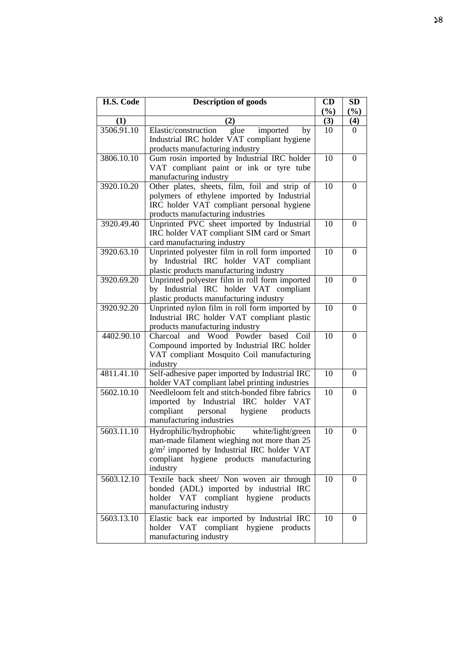| H.S. Code  | <b>Description of goods</b>                                                                                                                                                                      | CD<br>(%) | <b>SD</b><br>(%) |
|------------|--------------------------------------------------------------------------------------------------------------------------------------------------------------------------------------------------|-----------|------------------|
| (1)        | (2)                                                                                                                                                                                              | (3)       | (4)              |
| 3506.91.10 | Elastic/construction<br>imported<br>glue<br>by<br>Industrial IRC holder VAT compliant hygiene<br>products manufacturing industry                                                                 | 10        | 0                |
| 3806.10.10 | Gum rosin imported by Industrial IRC holder<br>VAT compliant paint or ink or tyre tube<br>manufacturing industry                                                                                 | 10        | $\overline{0}$   |
| 3920.10.20 | Other plates, sheets, film, foil and strip of<br>polymers of ethylene imported by Industrial<br>IRC holder VAT compliant personal hygiene<br>products manufacturing industries                   | 10        | $\theta$         |
| 3920.49.40 | Unprinted PVC sheet imported by Industrial<br>IRC holder VAT compliant SIM card or Smart<br>card manufacturing industry                                                                          | 10        | $\overline{0}$   |
| 3920.63.10 | Unprinted polyester film in roll form imported<br>by Industrial IRC holder VAT compliant<br>plastic products manufacturing industry                                                              | 10        | $\Omega$         |
| 3920.69.20 | Unprinted polyester film in roll form imported<br>by Industrial IRC holder VAT compliant<br>plastic products manufacturing industry                                                              | 10        | 0                |
| 3920.92.20 | Unprinted nylon film in roll form imported by<br>Industrial IRC holder VAT compliant plastic<br>products manufacturing industry                                                                  | 10        | $\theta$         |
| 4402.90.10 | Charcoal<br>Wood Powder<br>based<br>Coil<br>and<br>Compound imported by Industrial IRC holder<br>VAT compliant Mosquito Coil manufacturing<br>industry                                           | 10        | $\overline{0}$   |
| 4811.41.10 | Self-adhesive paper imported by Industrial IRC<br>holder VAT compliant label printing industries                                                                                                 | 10        | $\theta$         |
| 5602.10.10 | Needleloom felt and stitch-bonded fibre fabrics<br>imported by Industrial IRC holder VAT<br>compliant<br>personal<br>hygiene<br>products<br>manufacturing industries                             | 10        | $\boldsymbol{0}$ |
| 5603.11.10 | Hydrophilic/hydrophobic white/light/green<br>man-made filament wieghing not more than 25<br>$g/m2$ imported by Industrial IRC holder VAT<br>compliant hygiene products manufacturing<br>industry | 10        | $\overline{0}$   |
| 5603.12.10 | Textile back sheet/ Non woven air through<br>bonded (ADL) imported by industrial IRC<br>holder VAT<br>compliant hygiene products<br>manufacturing industry                                       | 10        | $\theta$         |
| 5603.13.10 | Elastic back ear imported by Industrial IRC<br>holder VAT compliant<br>hygiene products<br>manufacturing industry                                                                                | 10        | $\theta$         |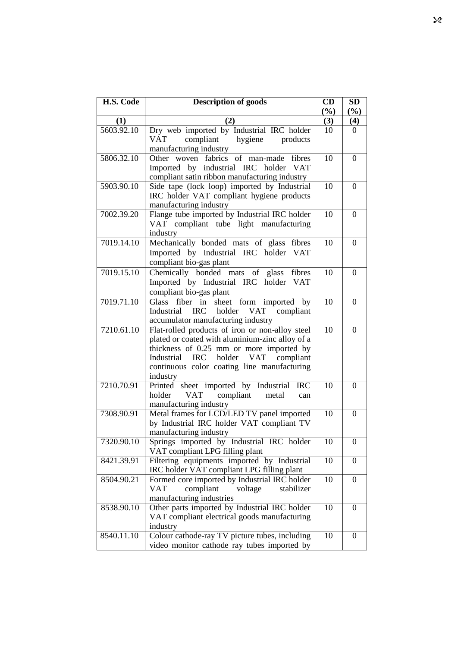| H.S. Code         | <b>Description of goods</b>                                                     | CD        | SD             |
|-------------------|---------------------------------------------------------------------------------|-----------|----------------|
|                   |                                                                                 | (%)       | $(\%)$         |
| (1)<br>5603.92.10 | (2)                                                                             | (3)<br>10 | (4)<br>0       |
|                   | Dry web imported by Industrial IRC holder<br>compliant<br>hygiene<br><b>VAT</b> |           |                |
|                   | products<br>manufacturing industry                                              |           |                |
| 5806.32.10        | Other woven fabrics of<br>man-made<br>fibres                                    | 10        | $\theta$       |
|                   | Imported by industrial IRC holder VAT                                           |           |                |
|                   | compliant satin ribbon manufacturing industry                                   |           |                |
| 5903.90.10        | Side tape (lock loop) imported by Industrial                                    | 10        | $\Omega$       |
|                   | IRC holder VAT compliant hygiene products                                       |           |                |
|                   | manufacturing industry                                                          |           |                |
| 7002.39.20        | Flange tube imported by Industrial IRC holder                                   | 10        | $\theta$       |
|                   | VAT compliant tube light manufacturing                                          |           |                |
|                   | industry                                                                        |           |                |
| 7019.14.10        | Mechanically bonded mats of glass fibres                                        | 10        | $\Omega$       |
|                   | Imported by Industrial IRC holder VAT                                           |           |                |
|                   | compliant bio-gas plant                                                         |           |                |
| 7019.15.10        | Chemically bonded mats of glass<br>fibres                                       | 10        | $\theta$       |
|                   | Imported by Industrial IRC holder VAT                                           |           |                |
|                   | compliant bio-gas plant                                                         |           |                |
| 7019.71.10        | sheet form imported by<br>Glass fiber in                                        | 10        | $\Omega$       |
|                   | Industrial IRC<br><b>VAT</b><br>holder<br>compliant                             |           |                |
|                   | accumulator manufacturing industry                                              |           |                |
| 7210.61.10        | Flat-rolled products of iron or non-alloy steel                                 | 10        | $\Omega$       |
|                   | plated or coated with aluminium-zinc alloy of a                                 |           |                |
|                   | thickness of 0.25 mm or more imported by                                        |           |                |
|                   | Industrial IRC holder VAT compliant                                             |           |                |
|                   | continuous color coating line manufacturing                                     |           |                |
| 7210.70.91        | industry                                                                        |           | $\Omega$       |
|                   | Printed sheet imported by Industrial IRC<br>VAT compliant<br>holder<br>metal    | 10        |                |
|                   | can<br>manufacturing industry                                                   |           |                |
| 7308.90.91        | Metal frames for LCD/LED TV panel imported                                      | 10        | $\Omega$       |
|                   | by Industrial IRC holder VAT compliant TV                                       |           |                |
|                   | manufacturing industry                                                          |           |                |
| 7320.90.10        | Springs imported by Industrial IRC holder                                       | 10        | U              |
|                   | VAT compliant LPG filling plant                                                 |           |                |
| 8421.39.91        | Filtering equipments imported by Industrial                                     | 10        | $\Omega$       |
|                   | IRC holder VAT compliant LPG filling plant                                      |           |                |
| 8504.90.21        | Formed core imported by Industrial IRC holder                                   | 10        | $\overline{0}$ |
|                   | compliant<br>voltage<br>VAT<br>stabilizer                                       |           |                |
|                   | manufacturing industries                                                        |           |                |
| 8538.90.10        | Other parts imported by Industrial IRC holder                                   | 10        | 0              |
|                   | VAT compliant electrical goods manufacturing                                    |           |                |
|                   | industry                                                                        |           |                |
| 8540.11.10        | Colour cathode-ray TV picture tubes, including                                  | 10        | 0              |
|                   | video monitor cathode ray tubes imported by                                     |           |                |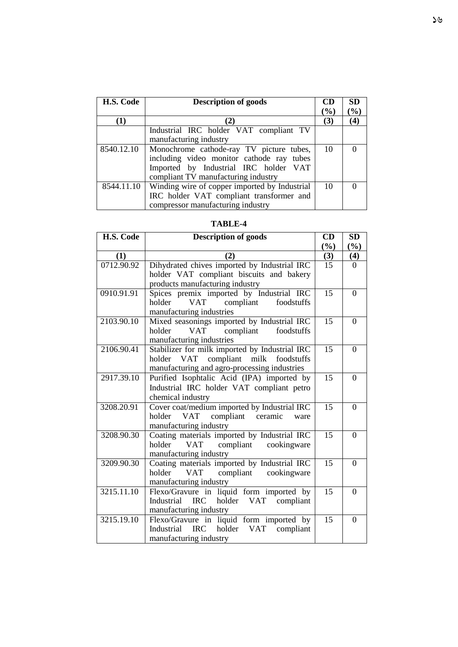| H.S. Code  | <b>Description of goods</b>                   | CD     | <b>SD</b> |
|------------|-----------------------------------------------|--------|-----------|
|            |                                               | $(\%)$ | $(\%)$    |
| (1)        | $\mathbf{2}$                                  | (3)    | (4)       |
|            | Industrial IRC holder VAT compliant TV        |        |           |
|            | manufacturing industry                        |        |           |
| 8540.12.10 | Monochrome cathode-ray TV picture tubes,      | 10     |           |
|            | including video monitor cathode ray tubes     |        |           |
|            | Imported by Industrial IRC holder VAT         |        |           |
|            | compliant TV manufacturing industry           |        |           |
| 8544.11.10 | Winding wire of copper imported by Industrial | 10     |           |
|            | IRC holder VAT compliant transformer and      |        |           |
|            | compressor manufacturing industry             |        |           |

| H.S. Code  | <b>Description of goods</b>                      | CD              | <b>SD</b>      |
|------------|--------------------------------------------------|-----------------|----------------|
|            |                                                  | (%)             | (%)            |
| (1)        | (2)                                              | (3)             | (4)            |
| 0712.90.92 | Dihydrated chives imported by Industrial IRC     | 15              | $\Omega$       |
|            | holder VAT compliant biscuits and bakery         |                 |                |
|            | products manufacturing industry                  |                 |                |
| 0910.91.91 | Spices premix imported by Industrial IRC         | 15              | $\Omega$       |
|            | <b>VAT</b><br>compliant foodstuffs<br>holder     |                 |                |
|            | manufacturing industries                         |                 |                |
| 2103.90.10 | Mixed seasonings imported by Industrial IRC      | 15              | $\theta$       |
|            | <b>VAT</b><br>compliant<br>foodstuffs<br>holder  |                 |                |
|            | manufacturing industries                         |                 |                |
| 2106.90.41 | Stabilizer for milk imported by Industrial IRC   | $\overline{15}$ | $\Omega$       |
|            | holder VAT compliant milk foodstuffs             |                 |                |
|            | manufacturing and agro-processing industries     |                 |                |
| 2917.39.10 | Purified Isophtalic Acid (IPA) imported by       | 15              | $\theta$       |
|            | Industrial IRC holder VAT compliant petro        |                 |                |
|            | chemical industry                                |                 |                |
| 3208.20.91 | Cover coat/medium imported by Industrial IRC     | 15              | $\theta$       |
|            | VAT<br>compliant ceramic<br>holder<br>ware       |                 |                |
|            | manufacturing industry                           |                 |                |
| 3208.90.30 | Coating materials imported by Industrial IRC     | 15              | $\theta$       |
|            | VAT<br>compliant cookingware<br>holder           |                 |                |
|            | manufacturing industry                           |                 |                |
| 3209.90.30 | Coating materials imported by Industrial IRC     | 15              | $\theta$       |
|            | <b>VAT</b><br>compliant cookingware<br>holder    |                 |                |
|            | manufacturing industry                           |                 |                |
| 3215.11.10 | Flexo/Gravure in liquid form imported by         | 15              | $\Omega$       |
|            | IRC holder VAT compliant<br>Industrial           |                 |                |
|            | manufacturing industry                           |                 |                |
| 3215.19.10 | Flexo/Gravure in liquid form imported by         | 15              | $\overline{0}$ |
|            | <b>IRC</b><br>holder VAT compliant<br>Industrial |                 |                |
|            | manufacturing industry                           |                 |                |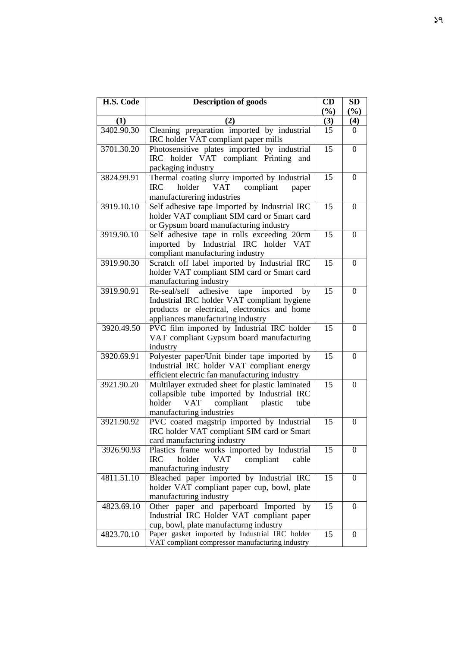| H.S. Code  | <b>Description of goods</b>                                                                                                                                                            | CD              | <b>SD</b>        |
|------------|----------------------------------------------------------------------------------------------------------------------------------------------------------------------------------------|-----------------|------------------|
|            |                                                                                                                                                                                        | (%)             | (%)              |
| (1)        | (2)                                                                                                                                                                                    | (3)             | (4)              |
| 3402.90.30 | Cleaning preparation imported by industrial<br>IRC holder VAT compliant paper mills                                                                                                    | 15              | $\Omega$         |
| 3701.30.20 | Photosensitive plates imported by industrial<br>IRC holder VAT compliant Printing<br>and<br>packaging industry                                                                         | 15              | $\boldsymbol{0}$ |
| 3824.99.91 | Thermal coating slurry imported by Industrial<br>holder<br><b>VAT</b><br><b>IRC</b><br>compliant<br>paper<br>manufacturering industries                                                | 15              | $\theta$         |
| 3919.10.10 | Self adhesive tape Imported by Industrial IRC<br>holder VAT compliant SIM card or Smart card<br>or Gypsum board manufacturing industry                                                 | 15              | 0                |
| 3919.90.10 | Self adhesive tape in rolls exceeding 20cm<br>imported by Industrial IRC holder VAT<br>compliant manufacturing industry                                                                | 15              | $\overline{0}$   |
| 3919.90.30 | Scratch off label imported by Industrial IRC<br>holder VAT compliant SIM card or Smart card<br>manufacturing industry                                                                  | 15              | $\overline{0}$   |
| 3919.90.91 | adhesive<br>imported<br>Re-seal/self<br>by<br>tape<br>Industrial IRC holder VAT compliant hygiene<br>products or electrical, electronics and home<br>appliances manufacturing industry | 15              | $\theta$         |
| 3920.49.50 | PVC film imported by Industrial IRC holder<br>VAT compliant Gypsum board manufacturing<br>industry                                                                                     | 15              | $\boldsymbol{0}$ |
| 3920.69.91 | Polyester paper/Unit binder tape imported by<br>Industrial IRC holder VAT compliant energy<br>efficient electric fan manufacturing industry                                            | 15              | $\Omega$         |
| 3921.90.20 | Multilayer extruded sheet for plastic laminated<br>collapsible tube imported by Industrial IRC<br>holder<br><b>VAT</b><br>compliant<br>plastic<br>tube<br>manufacturing industries     | 15              | $\theta$         |
| 3921.90.92 | PVC coated magstrip imported by Industrial<br>IRC holder VAT compliant SIM card or Smart<br>card manufacturing industry                                                                | 15              | $\overline{0}$   |
| 3926.90.93 | Plastics frame works imported by Industrial<br><b>VAT</b><br>holder<br><b>IRC</b><br>compliant<br>cable<br>manufacturing industry                                                      | 15              | $\overline{0}$   |
| 4811.51.10 | Bleached paper imported by Industrial IRC<br>holder VAT compliant paper cup, bowl, plate<br>manufacturing industry                                                                     | 15              | $\Omega$         |
| 4823.69.10 | Other paper and paperboard Imported by<br>Industrial IRC Holder VAT compliant paper<br>cup, bowl, plate manufacturng industry                                                          | 15              | $\Omega$         |
| 4823.70.10 | Paper gasket imported by Industrial IRC holder<br>VAT compliant compressor manufacturing industry                                                                                      | $\overline{15}$ | $\overline{0}$   |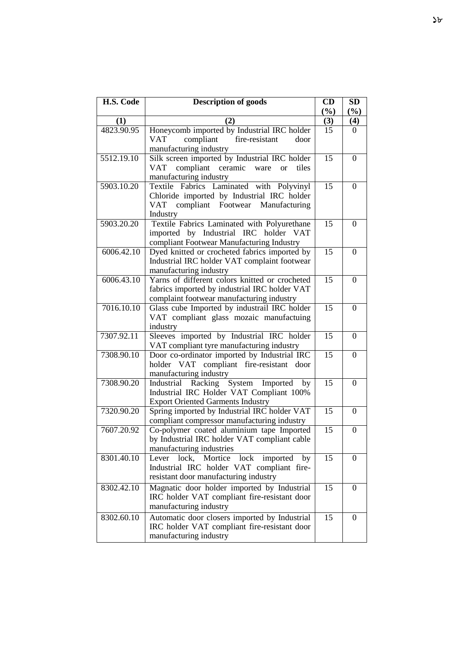| H.S. Code  | <b>Description of goods</b>                                                                                                                  | CD<br>(%) | <b>SD</b><br>(%) |
|------------|----------------------------------------------------------------------------------------------------------------------------------------------|-----------|------------------|
| (1)        | (2)                                                                                                                                          | (3)       | (4)              |
| 4823.90.95 | Honeycomb imported by Industrial IRC holder<br>compliant<br>fire-resistant<br><b>VAT</b><br>door<br>manufacturing industry                   | 15        | 0                |
| 5512.19.10 | Silk screen imported by Industrial IRC holder<br>compliant ceramic ware<br>tiles<br>VAT<br><sub>or</sub><br>manufacturing industry           | 15        | $\overline{0}$   |
| 5903.10.20 | Textile Fabrics Laminated with Polyvinyl<br>Chloride imported by Industrial IRC holder<br>VAT compliant Footwear Manufacturing<br>Industry   | 15        | $\theta$         |
| 5903.20.20 | Textile Fabrics Laminated with Polyurethane<br>imported by Industrial IRC holder VAT<br>compliant Footwear Manufacturing Industry            | 15        | $\theta$         |
| 6006.42.10 | Dyed knitted or crocheted fabrics imported by<br>Industrial IRC holder VAT complaint footwear<br>manufacturing industry                      | 15        | $\theta$         |
| 6006.43.10 | Yarns of different colors knitted or crocheted<br>fabrics imported by industrial IRC holder VAT<br>complaint footwear manufacturing industry | 15        | $\Omega$         |
| 7016.10.10 | Glass cube Imported by industrail IRC holder<br>VAT compliant glass mozaic manufactuing<br>industry                                          | 15        | $\overline{0}$   |
| 7307.92.11 | Sleeves imported by Industrial IRC holder<br>VAT compliant tyre manufacturing industry                                                       | 15        | $\overline{0}$   |
| 7308.90.10 | Door co-ordinator imported by Industrial IRC<br>holder VAT compliant fire-resistant<br>door<br>manufacturing industry                        | 15        | $\overline{0}$   |
| 7308.90.20 | Industrial Racking System Imported<br>by<br>Industrial IRC Holder VAT Compliant 100%<br><b>Export Oriented Garments Industry</b>             | 15        | $\boldsymbol{0}$ |
| 7320.90.20 | Spring imported by Industrial IRC holder VAT<br>compliant compressor manufacturing industry                                                  | 15        | $\boldsymbol{0}$ |
| 7607.20.92 | Co-polymer coated aluminium tape Imported<br>by Industrial IRC holder VAT compliant cable<br>manufacturing industries                        | 15        | $\boldsymbol{0}$ |
| 8301.40.10 | Lever lock, Mortice lock<br>imported<br>by<br>Industrial IRC holder VAT compliant fire-<br>resistant door manufacturing industry             | 15        | $\overline{0}$   |
| 8302.42.10 | Magnatic door holder imported by Industrial<br>IRC holder VAT compliant fire-resistant door<br>manufacturing industry                        | 15        | $\Omega$         |
| 8302.60.10 | Automatic door closers imported by Industrial<br>IRC holder VAT compliant fire-resistant door<br>manufacturing industry                      | 15        | $\Omega$         |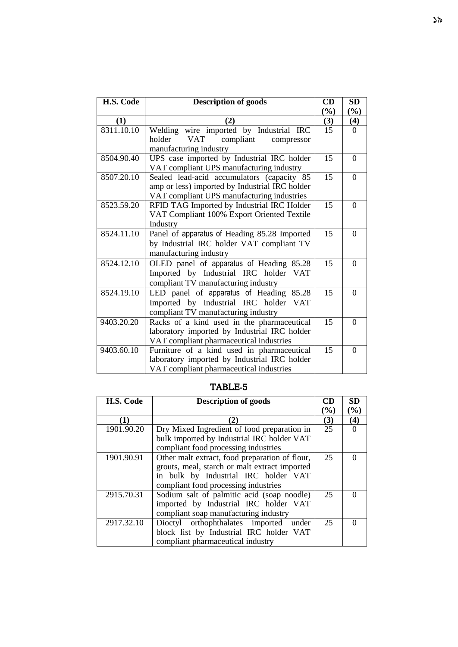| H.S. Code  | <b>Description of goods</b>                     | CD     | <b>SD</b> |
|------------|-------------------------------------------------|--------|-----------|
|            |                                                 | $(\%)$ | $(\%)$    |
| (1)        | (2)                                             | (3)    | (4)       |
| 8311.10.10 | Welding wire imported by Industrial IRC         | 15     | $\Omega$  |
|            | <b>VAT</b><br>compliant<br>holder<br>compressor |        |           |
|            | manufacturing industry                          |        |           |
| 8504.90.40 | UPS case imported by Industrial IRC holder      | 15     | $\Omega$  |
|            | VAT compliant UPS manufacturing industry        |        |           |
| 8507.20.10 | Sealed lead-acid accumulators (capacity 85      | 15     | $\Omega$  |
|            | amp or less) imported by Industrial IRC holder  |        |           |
|            | VAT compliant UPS manufacturing industries      |        |           |
| 8523.59.20 | RFID TAG Imported by Industrial IRC Holder      | 15     | $\Omega$  |
|            | VAT Compliant 100% Export Oriented Textile      |        |           |
|            | Industry                                        |        |           |
| 8524.11.10 | Panel of apparatus of Heading 85.28 Imported    | 15     | $\Omega$  |
|            | by Industrial IRC holder VAT compliant TV       |        |           |
|            | manufacturing industry                          |        |           |
| 8524.12.10 | OLED panel of apparatus of Heading 85.28        | 15     | $\theta$  |
|            | Imported by Industrial IRC holder<br><b>VAT</b> |        |           |
|            | compliant TV manufacturing industry             |        |           |
| 8524.19.10 | LED panel of apparatus of Heading 85.28         | 15     | $\theta$  |
|            | Imported by Industrial IRC holder<br><b>VAT</b> |        |           |
|            | compliant TV manufacturing industry             |        |           |
| 9403.20.20 | Racks of a kind used in the pharmaceutical      | 15     | $\Omega$  |
|            | laboratory imported by Industrial IRC holder    |        |           |
|            | VAT compliant pharmaceutical industries         |        |           |
| 9403.60.10 | Furniture of a kind used in pharmaceutical      | 15     | $\Omega$  |
|            | laboratory imported by Industrial IRC holder    |        |           |
|            | VAT compliant pharmaceutical industries         |        |           |

| H.S. Code  | <b>Description of goods</b>                    | CD                           | <b>SD</b> |
|------------|------------------------------------------------|------------------------------|-----------|
|            |                                                | $\left( \frac{0}{0} \right)$ | $(\%)$    |
| (1)        | $\mathbf{2}$                                   | (3)                          | $\bf(4)$  |
| 1901.90.20 | Dry Mixed Ingredient of food preparation in    | 25                           |           |
|            | bulk imported by Industrial IRC holder VAT     |                              |           |
|            | compliant food processing industries           |                              |           |
| 1901.90.91 | Other malt extract, food preparation of flour, | 25                           |           |
|            | grouts, meal, starch or malt extract imported  |                              |           |
|            | in bulk by Industrial IRC holder VAT           |                              |           |
|            | compliant food processing industries           |                              |           |
| 2915.70.31 | Sodium salt of palmitic acid (soap noodle)     | 25                           |           |
|            | imported by Industrial IRC holder VAT          |                              |           |
|            | compliant soap manufacturing industry          |                              |           |
| 2917.32.10 | Dioctyl orthophthalates imported under         | 25                           |           |
|            | block list by Industrial IRC holder VAT        |                              |           |
|            | compliant pharmaceutical industry              |                              |           |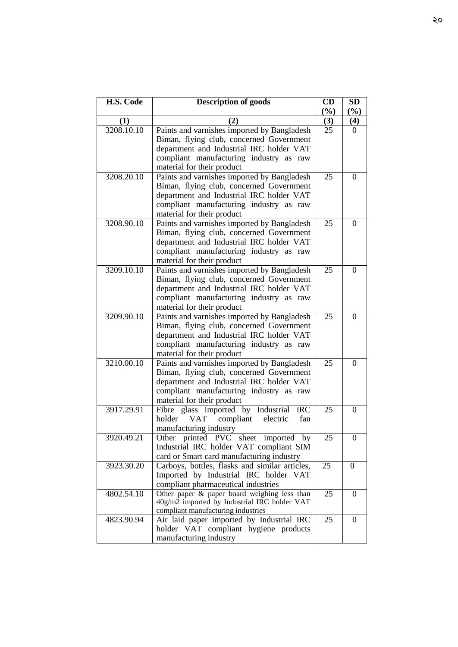| H.S. Code  | <b>Description of goods</b>                                                                                                                                                                                  | CD<br>(%) | <b>SD</b><br>$(\%)$ |
|------------|--------------------------------------------------------------------------------------------------------------------------------------------------------------------------------------------------------------|-----------|---------------------|
| (1)        | (2)                                                                                                                                                                                                          | (3)       | (4)                 |
| 3208.10.10 | Paints and varnishes imported by Bangladesh<br>Biman, flying club, concerned Government<br>department and Industrial IRC holder VAT<br>compliant manufacturing industry as raw<br>material for their product | 25        | $\Omega$            |
| 3208.20.10 | Paints and varnishes imported by Bangladesh<br>Biman, flying club, concerned Government<br>department and Industrial IRC holder VAT<br>compliant manufacturing industry as raw<br>material for their product | 25        | $\theta$            |
| 3208.90.10 | Paints and varnishes imported by Bangladesh<br>Biman, flying club, concerned Government<br>department and Industrial IRC holder VAT<br>compliant manufacturing industry as raw<br>material for their product | 25        | 0                   |
| 3209.10.10 | Paints and varnishes imported by Bangladesh<br>Biman, flying club, concerned Government<br>department and Industrial IRC holder VAT<br>compliant manufacturing industry as raw<br>material for their product | 25        | $\theta$            |
| 3209.90.10 | Paints and varnishes imported by Bangladesh<br>Biman, flying club, concerned Government<br>department and Industrial IRC holder VAT<br>compliant manufacturing industry as raw<br>material for their product | 25        | $\theta$            |
| 3210.00.10 | Paints and varnishes imported by Bangladesh<br>Biman, flying club, concerned Government<br>department and Industrial IRC holder VAT<br>compliant manufacturing industry as raw<br>material for their product | 25        | $\theta$            |
| 3917.29.91 | Fibre glass imported by Industrial<br><b>IRC</b><br>compliant<br>holder<br><b>VAT</b><br>electric<br>fan<br>manufacturing industry                                                                           | 25        | $\theta$            |
| 3920.49.21 | Other printed PVC sheet imported<br>by<br>Industrial IRC holder VAT compliant SIM<br>card or Smart card manufacturing industry                                                                               | 25        | 0                   |
| 3923.30.20 | Carboys, bottles, flasks and similar articles,<br>Imported by Industrial IRC holder VAT<br>compliant pharmaceutical industries                                                                               | 25        | $\overline{0}$      |
| 4802.54.10 | Other paper & paper board weighing less than<br>40g/m2 imported by Industrial IRC holder VAT<br>compliant manufacturing industries                                                                           | 25        | $\Omega$            |
| 4823.90.94 | Air laid paper imported by Industrial IRC<br>holder VAT compliant hygiene products<br>manufacturing industry                                                                                                 | 25        | 0                   |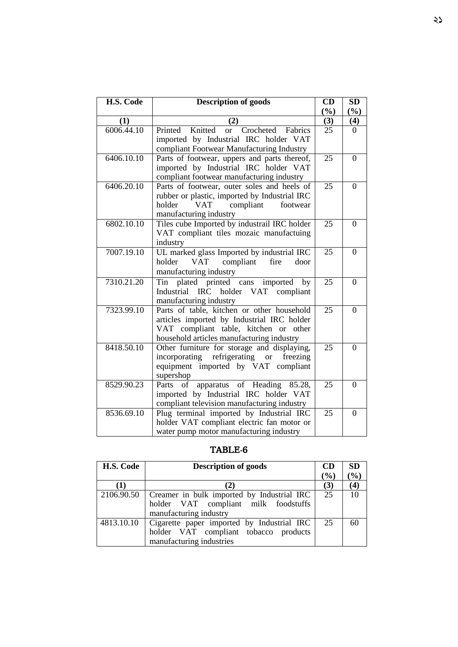| H.S. Code               | <b>Description of goods</b>                              | CD              | <b>SD</b>      |
|-------------------------|----------------------------------------------------------|-----------------|----------------|
|                         |                                                          | (%)             | (%)            |
| (1)                     | (2)                                                      | (3)             | (4)            |
| 6006.44.10              | Crocheted Fabrics<br>Knitted<br>Printed<br><sub>or</sub> | $\overline{25}$ | $\Omega$       |
|                         | imported by Industrial IRC holder VAT                    |                 |                |
|                         | compliant Footwear Manufacturing Industry                |                 |                |
| 6406.10.10              | Parts of footwear, uppers and parts thereof,             | 25              | $\overline{0}$ |
|                         | imported by Industrial IRC holder VAT                    |                 |                |
|                         | compliant footwear manufacturing industry                |                 |                |
| 6406.20.10              | Parts of footwear, outer soles and heels of              | 25              | $\theta$       |
|                         | rubber or plastic, imported by Industrial IRC            |                 |                |
|                         | compliant<br>footwear<br>holder<br>VAT                   |                 |                |
|                         | manufacturing industry                                   |                 |                |
| $6802.\overline{10.10}$ | Tiles cube Imported by industrail IRC holder             | 25              | $\Omega$       |
|                         | VAT compliant tiles mozaic manufactuing                  |                 |                |
|                         | industry                                                 |                 |                |
| 7007.19.10              | UL marked glass Imported by industrial IRC               | 25              | $\overline{0}$ |
|                         | compliant<br>holder<br><b>VAT</b><br>fire<br>door        |                 |                |
|                         | manufacturing industry                                   |                 |                |
| 7310.21.20              | Tin plated printed cans imported by                      | 25              | $\overline{0}$ |
|                         | Industrial IRC holder VAT compliant                      |                 |                |
|                         | manufacturing industry                                   |                 |                |
| 7323.99.10              | Parts of table, kitchen or other household               | $\overline{25}$ | $\overline{0}$ |
|                         | articles imported by Industrial IRC holder               |                 |                |
|                         | VAT compliant table, kitchen or other                    |                 |                |
|                         | household articles manufacturing industry                |                 |                |
| 8418.50.10              | Other furniture for storage and displaying,              | $\overline{25}$ | $\overline{0}$ |
|                         | incorporating refrigerating or<br>freezing               |                 |                |
|                         | equipment imported by VAT compliant                      |                 |                |
|                         | supershop                                                |                 |                |
| 8529.90.23              | apparatus of Heading 85.28,<br>$\overline{Parts}$ of     | 25              | $\theta$       |
|                         | imported by Industrial IRC holder VAT                    |                 |                |
|                         | compliant television manufacturing industry              |                 |                |
| 8536.69.10              | Plug terminal imported by Industrial IRC                 | 25              | $\theta$       |
|                         | holder VAT compliant electric fan motor or               |                 |                |
|                         | water pump motor manufacturing industry                  |                 |                |

| H.S. Code  | <b>Description of goods</b>                                                                                             | <b>CD</b> | <b>SD</b>          |
|------------|-------------------------------------------------------------------------------------------------------------------------|-----------|--------------------|
|            |                                                                                                                         | $(\%)$    | $($ % $)$          |
|            |                                                                                                                         | (3)       | $\left( 4 \right)$ |
|            | 2106.90.50 Creamer in bulk imported by Industrial IRC<br>holder VAT compliant milk foodstuffs<br>manufacturing industry | 25        | 10                 |
| 4813.10.10 | Cigarette paper imported by Industrial IRC<br>holder VAT compliant tobacco products<br>manufacturing industries         | 25        |                    |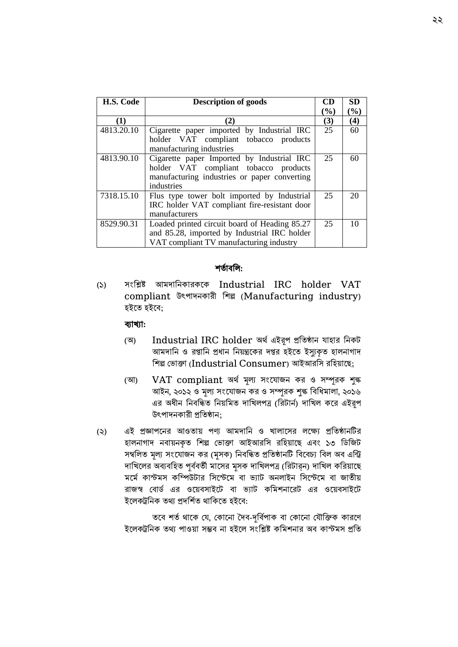| H.S. Code  | <b>Description of goods</b>                                                                                                                       | CD  | <b>SD</b> |
|------------|---------------------------------------------------------------------------------------------------------------------------------------------------|-----|-----------|
|            |                                                                                                                                                   | (%) | $(\%)$    |
| (1)        | (2)                                                                                                                                               | (3) | (4)       |
| 4813.20.10 | Cigarette paper imported by Industrial IRC<br>holder VAT compliant tobacco products<br>manufacturing industries                                   | 25  | 60        |
| 4813.90.10 | Cigarette paper Imported by Industrial IRC<br>holder VAT compliant tobacco products<br>manufacturing industries or paper converting<br>industries | 25  | 60        |
| 7318.15.10 | Flus type tower bolt imported by Industrial<br>IRC holder VAT compliant fire-resistant door<br>manufacturers                                      | 25  | 20        |
| 8529.90.31 | Loaded printed circuit board of Heading 85.27<br>and 85.28, imported by Industrial IRC holder<br>VAT compliant TV manufacturing industry          | 25  | 10        |

#### শতাথববল:

(১) সাংবিষ্ট আমোবনকারকদক Industrial IRC holder VAT compliant উৎপােনকারী শিল্প (Manufacturing industry) হইতে হইবে:

## ব্যাখ্যা:

- (অ) Industrial IRC holder অর্থ এইরূপ প্রতিষ্ঠান যাহার নিকট আমদাশন ও রপ্তাশন প্রধান শনয়ন্ত্রককর দপ্তর হইকে ইস্যৈকৃে হালনাগাদ শিল্প ভ াক্তা (Industrial Consumer) আইআরশস রবিয়াদে;
- (আ) VAT compliant অর্থ মূল্য সংযোজন কর ও সম্পূরক শুল্ক আইন, ২০১২ ও মূল্য সংযোজন কর ও সম্পূরক শুল্ক বিধিমালা, ২০১৬ এর অধীন নিবন্ধিত নিয়মিত দাখিলপত্র (রিটার্ন) দাখিল করে এইরূপ উৎপাদনকারী প্রশেষ্ঠান;
- (২) এই প্রজ্ঞাপদনর আওতায় পণ্য আমোবন ও খালাদসর লদক্ষয প্রশেষ্ঠানটির হালনাগাদ নবায়নকৃত শিল্প ভোক্তা আইআরসি রহিয়াছে এবং ১৩ ডিজিট সম্বলিত মূল্য সংযোজন কর (মূসক) নিবন্ধিত প্রতিষ্ঠানটি বিবেচ্য বিল অব এন্ট্রি দাখিলের অব্যবহিত পূর্ববর্তী মাসের মূসক দাখিলপত্র (রিটার্ন) দাখিল করিয়াছে মৰ্মে কাস্টমস কম্পিউটার সিস্টেমে বা ভ্যাট অনলাইন সিস্টেমে বা জাতীয় রাজস্ব বোর্ড এর ওয়েবসাইটে বা ভ্যাট কমিশনারেট এর ওয়েবসাইটে ইলেকট্রনিক তথ্য প্রদর্শিত থাকিতে হইবে:

তবে শর্ত থাকে যে, কোনো দৈব-দূর্বিপাক বা কোনো যৌক্তিক কারণে ইলেকট্রনিক তথ্য পাওয়া সম্ভব না হইলে সংশ্লিষ্ট কমিশনার অব কাস্টমস প্রতি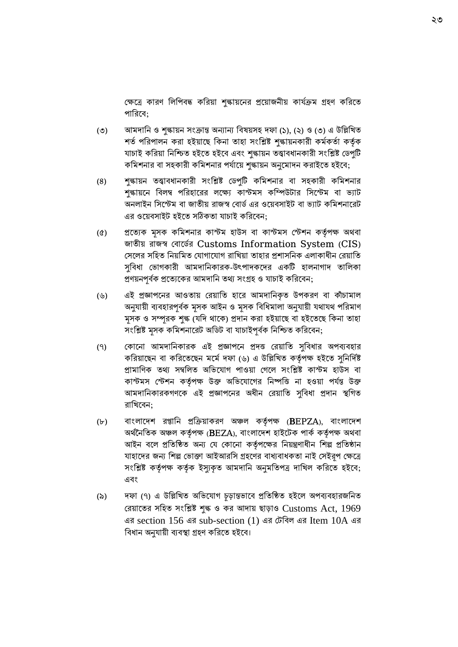ক্ষেত্রে কারণ লিপিবদ্ধ করিয়া শুল্কায়নের প্রয়োজনীয় কার্যক্রম গ্রহণ করিতে পারিবে;

- (৩) আমদানি ও শুল্কায়ন সংক্রান্ত অন্যান্য বিষয়সহ দফা (১), (২) ও (৩) এ উল্লিখিত শৰ্ত পরিপালন করা হইয়াছে কিনা তাহা সংশ্লিষ্ট শুল্কায়নকারী কর্মকর্তা কর্তৃক যাচাই করিয়া নিশ্চিত হইতে হইবে এবং শুল্কায়ন তত্ত্বাবধানকারী সংশ্লিষ্ট ডেপুটি কমিশনার বা সহকারী কমিশনার পর্যায়ে শুল্কায়ন অনুমোদন করাইতে হইবে;
- (৪) শুল্কায়ন তত্ত্বাবধানকারী সাংবিষ্ট বডপুটি কবমশনার বা সিকারী কবমশনার শুল্কায়নে বিলম্ব পরিহারের লক্ষ্যে কাস্টমস কম্পিউটার সিস্টেম বা ভ্যাট অনলাইন সিস্টেম বা জাতীয় রাজস্ব বোর্ড এর ওয়েবসাইট বা ভ্যাট কমিশনারেট এর ওয়েবসাইট হইতে সঠিকতা যাচাই করিবেন:
- (৫) প্রদতযক মূসক কবমশনার কাস্টম িাউস বা কাস্টমস বস্টশন কর্তপথ ক্ষ অর্বা জাতীয় রাজস্ব বোর্ডের Customs Information System (CIS) সেলের সহিত নিয়মিত যোগাযোগ রাখিয়া তাহার প্রশাসনিক এলাকাধীন রেয়াতি সুবিধা ভোগকারী আমদানিকারক-উৎপাদকদের একটি হালনাগাদ তালিকা প্রণয়নপূর্বক প্রত্যেকের আমদানি তথ্য সংগ্রহ ও যাচাই করিবেন;
- (৬) এই প্রজ্ঞাপদনর আওতায় বরয়াবত িাদর আমোবনকৃত উপকরণ বা কাঁচামাল অনুযায়ী ব্যবহারপূর্বক মূসক আইন ও মূসক বিধিমালা অনুযায়ী যথাযথ পরিমাণ মূসক ও সম্পূরক শুল্ক (যদি থাকে) প্রদান করা হইয়াছে বা হইতেছে কিনা তাহা সংশ্লিষ্ট মূসক কমিশনারেট অডিট বা যাচাইপূর্বক নিশ্চিত করিবেন;
- (৭) ব্লোনো আমদানিকারক এই প্রজ্ঞাপনে প্রদত্ত রেয়াতি সুবিধার অপব্যবহার করিয়াছেন বা করিতেছেন মর্মে দফা (৬) এ উল্লিখিত কর্তৃপক্ষ হইতে সুনির্দিষ্ট প্রামাণিক তথ্য সম্বলিত অভিযোগ পাওয়া গেলে সংশ্লিষ্ট কাস্টম হাউস বা কাস্টমস স্টেশন কর্তৃপক্ষ উক্ত অভিযোগের নিষ্পত্তি না হওয়া পর্যন্ত উক্ত আমোবনকারকগণদক এই প্রজ্ঞাপদনর অধীন বরয়াবত সুববধা প্রোন স্থবগত রাখিবেন:
- (৮) বাংলাদেশ রপ্তানি প্রক্রিয়াকরণ অঞ্চল কর্তৃপক্ষ (BEPZA), বাংলাদেশ অর্থনৈতিক অঞ্চল কর্তৃপক্ষ (BEZA), বাংলাদেশ হাইটেক পার্ক কর্তৃপক্ষ অথবা আইন বলে প্রতিষ্ঠিত অন্য যে কোনো কর্তৃপক্ষের নিয়ন্ত্রণাধীন শিল্প প্রতিষ্ঠান যাহাদের জন্য শিল্প ভোক্তা আইআরসি গ্রহণের বাধ্যবাধকতা নাই সেইরূপ ক্ষেত্রে সংশ্লিষ্ট কর্তৃপক্ষ কর্তৃক ইস্যুকৃত আমদানি অনুমতিপত্র দাখিল করিতে হইবে; এবং
- (৯) তাফা (৭) এ উল্লিখিত অভিযোগ চূড়ান্তভাবে প্রতিষ্ঠিত হইলে অপব্যবহারজনিত রেয়াতের সহিত সংশ্লিষ্ট শুল্ক ও কর আদায় ছাড়াও Customs Act, 1969 এর section 156 এর sub-section (1) এর বটববল এর Item 10A এর বিধান অনুযায়ী ব্যবস্থা গ্রহণ করিতে হইবে।